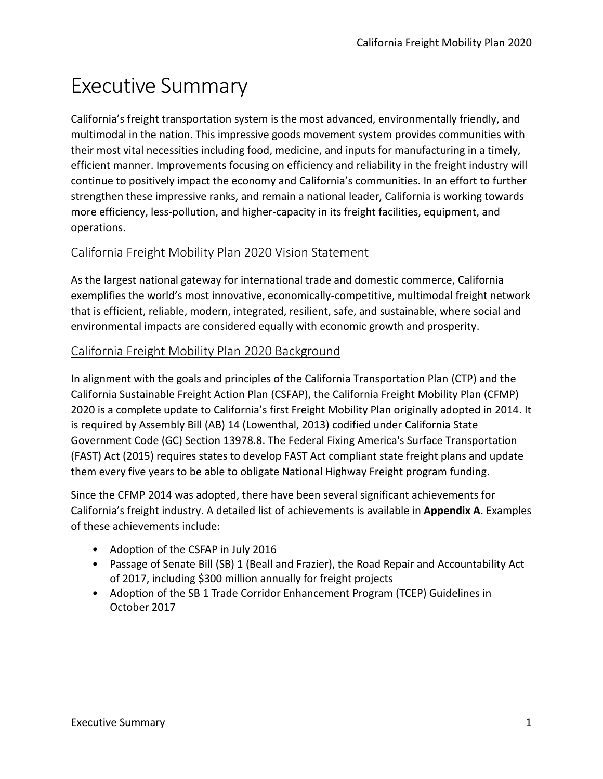# Executive Summary

California's freight transportation system is the most advanced, environmentally friendly, and multimodal in the nation. This impressive goods movement system provides communities with their most vital necessities including food, medicine, and inputs for manufacturing in a timely, efficient manner. Improvements focusing on efficiency and reliability in the freight industry will continue to positively impact the economy and California's communities. In an effort to further strengthen these impressive ranks, and remain a national leader, California is working towards more efficiency, less-pollution, and higher-capacity in its freight facilities, equipment, and operations.

# California Freight Mobility Plan 2020 Vision Statement

As the largest national gateway for international trade and domestic commerce, California exemplifies the world's most innovative, economically-competitive, multimodal freight network that is efficient, reliable, modern, integrated, resilient, safe, and sustainable, where social and environmental impacts are considered equally with economic growth and prosperity.

# California Freight Mobility Plan 2020 Background

In alignment with the goals and principles of the California Transportation Plan (CTP) and the California Sustainable Freight Action Plan (CSFAP), the California Freight Mobility Plan (CFMP) 2020 is a complete update to California's first Freight Mobility Plan originally adopted in 2014. It is required by Assembly Bill (AB) 14 (Lowenthal, 2013) codified under California State Government Code (GC) Section 13978.8. The Federal Fixing America's Surface Transportation (FAST) Act (2015) requires states to develop FAST Act compliant state freight plans and update them every five years to be able to obligate National Highway Freight program funding.

Since the CFMP 2014 was adopted, there have been several significant achievements for California's freight industry. A detailed list of achievements is available in **Appendix A**. Examples of these achievements include:

- Adoption of the CSFAP in July 2016
- Passage of Senate Bill (SB) 1 (Beall and Frazier), the Road Repair and Accountability Act of 2017, including \$300 million annually for freight projects
- Adoption of the SB 1 Trade Corridor Enhancement Program (TCEP) Guidelines in October 2017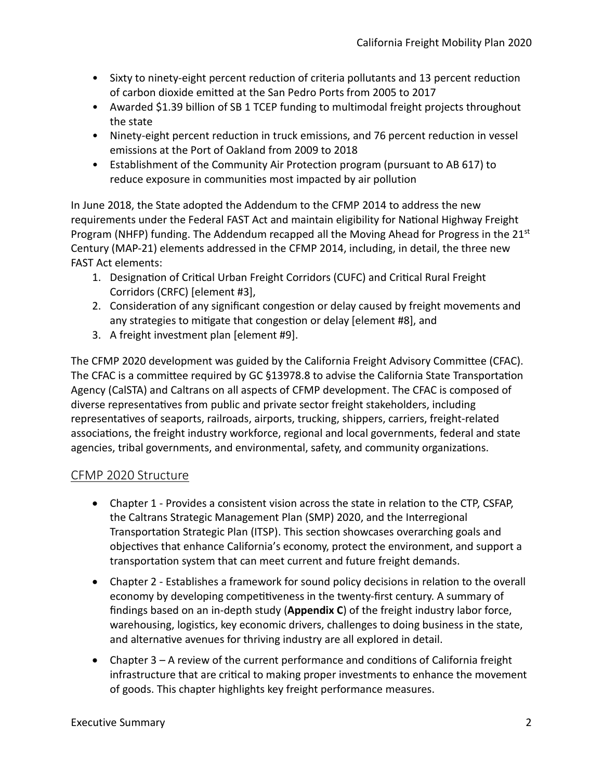- Sixty to ninety-eight percent reduction of criteria pollutants and 13 percent reduction of carbon dioxide emitted at the San Pedro Ports from 2005 to 2017
- Awarded \$1.39 billion of SB 1 TCEP funding to multimodal freight projects throughout the state
- Ninety-eight percent reduction in truck emissions, and 76 percent reduction in vessel emissions at the Port of Oakland from 2009 to 2018
- Establishment of the Community Air Protection program (pursuant to AB 617) to reduce exposure in communities most impacted by air pollution

In June 2018, the State adopted the Addendum to the CFMP 2014 to address the new requirements under the Federal FAST Act and maintain eligibility for National Highway Freight Program (NHFP) funding. The Addendum recapped all the Moving Ahead for Progress in the 21st Century (MAP-21) elements addressed in the CFMP 2014, including, in detail, the three new FAST Act elements:

- 1. Designation of Critical Urban Freight Corridors (CUFC) and Critical Rural Freight Corridors (CRFC) [element #3],
- 2. Consideration of any significant congestion or delay caused by freight movements and any strategies to mitigate that congestion or delay [element #8], and
- 3. A freight investment plan [element #9].

The CFMP 2020 development was guided by the California Freight Advisory Committee (CFAC). The CFAC is a committee required by GC §13978.8 to advise the California State Transportation Agency (CalSTA) and Caltrans on all aspects of CFMP development. The CFAC is composed of diverse representatives from public and private sector freight stakeholders, including representatives of seaports, railroads, airports, trucking, shippers, carriers, freight-related associations, the freight industry workforce, regional and local governments, federal and state agencies, tribal governments, and environmental, safety, and community organizations.

## CFMP 2020 Structure

- Chapter 1 Provides a consistent vision across the state in relation to the CTP, CSFAP, the Caltrans Strategic Management Plan (SMP) 2020, and the Interregional Transportation Strategic Plan (ITSP). This section showcases overarching goals and objectives that enhance California's economy, protect the environment, and support a transportation system that can meet current and future freight demands.
- Chapter 2 Establishes a framework for sound policy decisions in relation to the overall economy by developing competitiveness in the twenty-first century. A summary of findings based on an in-depth study (**Appendix C**) of the freight industry labor force, warehousing, logistics, key economic drivers, challenges to doing business in the state, and alternative avenues for thriving industry are all explored in detail.
- Chapter 3 A review of the current performance and conditions of California freight infrastructure that are critical to making proper investments to enhance the movement of goods. This chapter highlights key freight performance measures.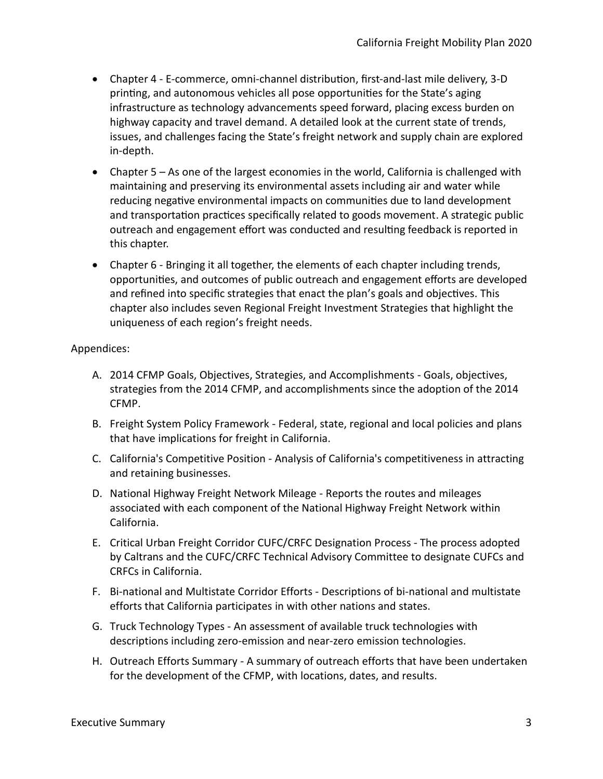- Chapter 4 E-commerce, omni-channel distribution, first-and-last mile delivery, 3-D printing, and autonomous vehicles all pose opportunities for the State's aging infrastructure as technology advancements speed forward, placing excess burden on highway capacity and travel demand. A detailed look at the current state of trends, issues, and challenges facing the State's freight network and supply chain are explored in-depth.
- Chapter 5 As one of the largest economies in the world, California is challenged with maintaining and preserving its environmental assets including air and water while reducing negative environmental impacts on communities due to land development and transportation practices specifically related to goods movement. A strategic public outreach and engagement effort was conducted and resulting feedback is reported in this chapter.
- Chapter 6 Bringing it all together, the elements of each chapter including trends, opportunities, and outcomes of public outreach and engagement efforts are developed and refined into specific strategies that enact the plan's goals and objectives. This chapter also includes seven Regional Freight Investment Strategies that highlight the uniqueness of each region's freight needs.

#### Appendices:

- A. 2014 CFMP Goals, Objectives, Strategies, and Accomplishments Goals, objectives, strategies from the 2014 CFMP, and accomplishments since the adoption of the 2014 CFMP.
- B. Freight System Policy Framework Federal, state, regional and local policies and plans that have implications for freight in California.
- C. California's Competitive Position Analysis of California's competitiveness in attracting and retaining businesses.
- D. National Highway Freight Network Mileage Reports the routes and mileages associated with each component of the National Highway Freight Network within California.
- E. Critical Urban Freight Corridor CUFC/CRFC Designation Process The process adopted by Caltrans and the CUFC/CRFC Technical Advisory Committee to designate CUFCs and CRFCs in California.
- F. Bi-national and Multistate Corridor Efforts Descriptions of bi-national and multistate efforts that California participates in with other nations and states.
- G. Truck Technology Types An assessment of available truck technologies with descriptions including zero-emission and near-zero emission technologies.
- H. Outreach Efforts Summary A summary of outreach efforts that have been undertaken for the development of the CFMP, with locations, dates, and results.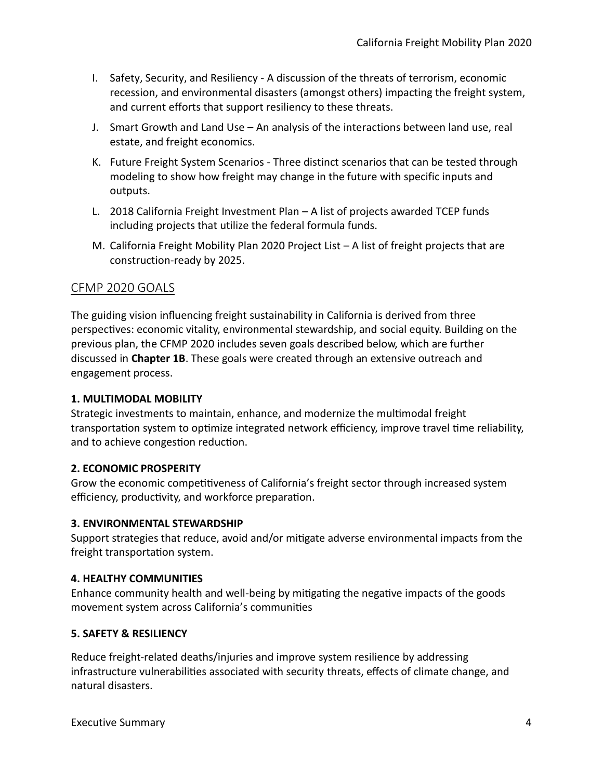- I. Safety, Security, and Resiliency A discussion of the threats of terrorism, economic recession, and environmental disasters (amongst others) impacting the freight system, and current efforts that support resiliency to these threats.
- J. Smart Growth and Land Use An analysis of the interactions between land use, real estate, and freight economics.
- K. Future Freight System Scenarios Three distinct scenarios that can be tested through modeling to show how freight may change in the future with specific inputs and outputs.
- L. 2018 California Freight Investment Plan A list of projects awarded TCEP funds including projects that utilize the federal formula funds.
- M. California Freight Mobility Plan 2020 Project List A list of freight projects that are construction-ready by 2025.

## CFMP 2020 GOALS

The guiding vision influencing freight sustainability in California is derived from three perspectives: economic vitality, environmental stewardship, and social equity. Building on the previous plan, the CFMP 2020 includes seven goals described below, which are further discussed in **Chapter 1B**. These goals were created through an extensive outreach and engagement process.

## **1. MULTIMODAL MOBILITY**

Strategic investments to maintain, enhance, and modernize the multimodal freight transportation system to optimize integrated network efficiency, improve travel time reliability, and to achieve congestion reduction.

## **2. ECONOMIC PROSPERITY**

Grow the economic competitiveness of California's freight sector through increased system efficiency, productivity, and workforce preparation.

#### **3. ENVIRONMENTAL STEWARDSHIP**

Support strategies that reduce, avoid and/or mitigate adverse environmental impacts from the freight transportation system.

## **4. HEALTHY COMMUNITIES**

Enhance community health and well-being by mitigating the negative impacts of the goods movement system across California's communities

## **5. SAFETY & RESILIENCY**

Reduce freight-related deaths/injuries and improve system resilience by addressing infrastructure vulnerabilities associated with security threats, effects of climate change, and natural disasters.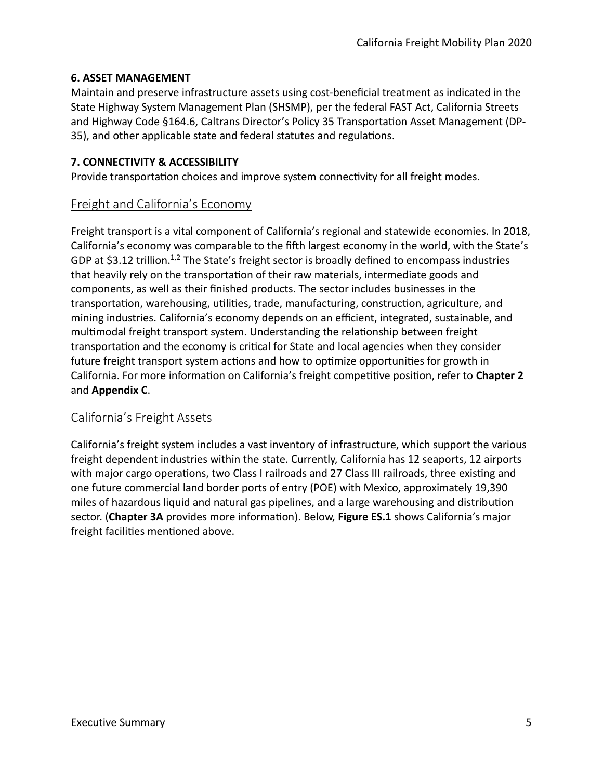## **6. ASSET MANAGEMENT**

Maintain and preserve infrastructure assets using cost-beneficial treatment as indicated in the State Highway System Management Plan (SHSMP), per the federal FAST Act, California Streets and Highway Code §164.6, Caltrans Director's Policy 35 Transportation Asset Management (DP-35), and other applicable state and federal statutes and regulations.

#### **7. CONNECTIVITY & ACCESSIBILITY**

Provide transportation choices and improve system connectivity for all freight modes.

## Freight and California's Economy

Freight transport is a vital component of California's regional and statewide economies. In 2018, California's economy was comparable to the fifth largest economy in the world, with the State's GDP at \$3.12 trillion.<sup>1,2</sup> The State's freight sector is broadly defined to encompass industries that heavily rely on the transportation of their raw materials, intermediate goods and components, as well as their finished products. The sector includes businesses in the transportation, warehousing, utilities, trade, manufacturing, construction, agriculture, and mining industries. California's economy depends on an efficient, integrated, sustainable, and multimodal freight transport system. Understanding the relationship between freight transportation and the economy is critical for State and local agencies when they consider future freight transport system actions and how to optimize opportunities for growth in California. For more information on California's freight competitive position, refer to **Chapter 2** and **Appendix C**.

## California's Freight Assets

California's freight system includes a vast inventory of infrastructure, which support the various freight dependent industries within the state. Currently, California has 12 seaports, 12 airports with major cargo operations, two Class I railroads and 27 Class III railroads, three existing and one future commercial land border ports of entry (POE) with Mexico, approximately 19,390 miles of hazardous liquid and natural gas pipelines, and a large warehousing and distribution sector. (**Chapter 3A** provides more information). Below, **Figure ES.1** shows California's major freight facilities mentioned above.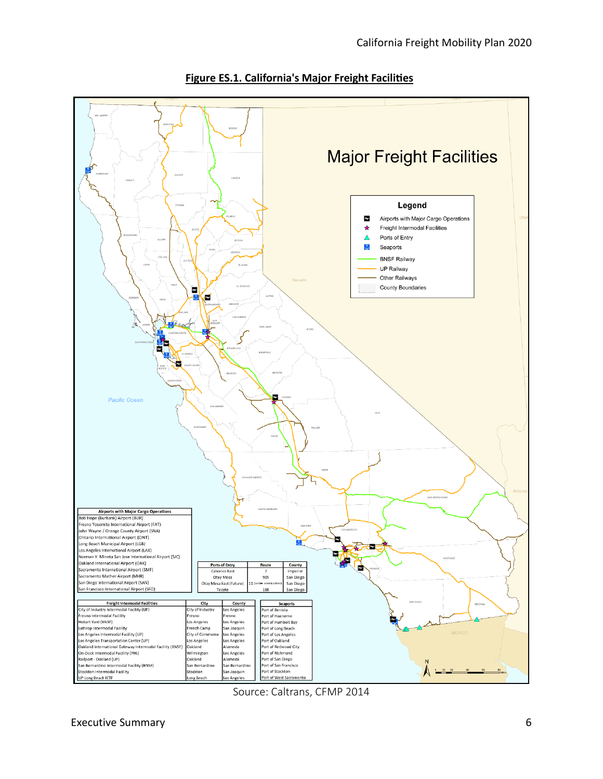

**Figure ES.1. California's Major Freight Facilities**

Source: Caltrans, CFMP 2014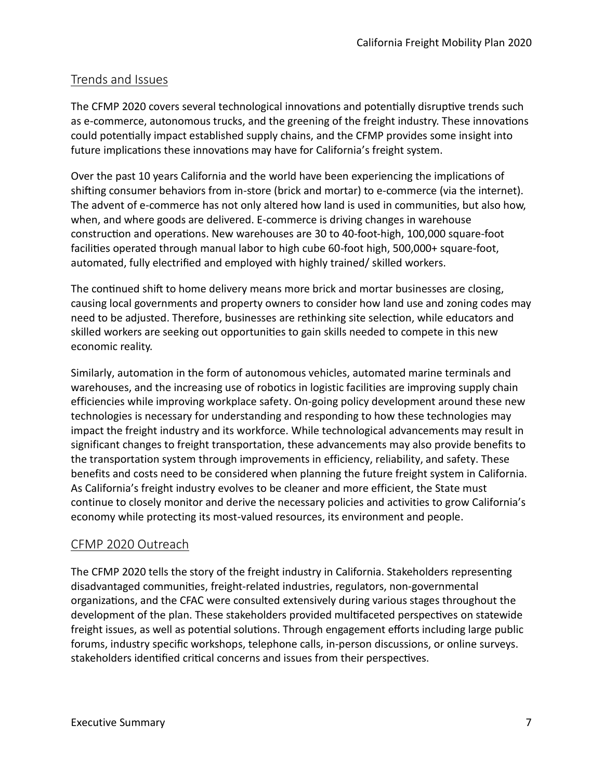# Trends and Issues

The CFMP 2020 covers several technological innovations and potentially disruptive trends such as e-commerce, autonomous trucks, and the greening of the freight industry. These innovations could potentially impact established supply chains, and the CFMP provides some insight into future implications these innovations may have for California's freight system.

Over the past 10 years California and the world have been experiencing the implications of shifting consumer behaviors from in-store (brick and mortar) to e-commerce (via the internet). The advent of e-commerce has not only altered how land is used in communities, but also how, when, and where goods are delivered. E-commerce is driving changes in warehouse construction and operations. New warehouses are 30 to 40-foot-high, 100,000 square-foot facilities operated through manual labor to high cube 60-foot high, 500,000+ square-foot, automated, fully electrified and employed with highly trained/ skilled workers.

The continued shift to home delivery means more brick and mortar businesses are closing, causing local governments and property owners to consider how land use and zoning codes may need to be adjusted. Therefore, businesses are rethinking site selection, while educators and skilled workers are seeking out opportunities to gain skills needed to compete in this new economic reality.

Similarly, automation in the form of autonomous vehicles, automated marine terminals and warehouses, and the increasing use of robotics in logistic facilities are improving supply chain efficiencies while improving workplace safety. On-going policy development around these new technologies is necessary for understanding and responding to how these technologies may impact the freight industry and its workforce. While technological advancements may result in significant changes to freight transportation, these advancements may also provide benefits to the transportation system through improvements in efficiency, reliability, and safety. These benefits and costs need to be considered when planning the future freight system in California. As California's freight industry evolves to be cleaner and more efficient, the State must continue to closely monitor and derive the necessary policies and activities to grow California's economy while protecting its most-valued resources, its environment and people.

## CFMP 2020 Outreach

The CFMP 2020 tells the story of the freight industry in California. Stakeholders representing disadvantaged communities, freight-related industries, regulators, non-governmental organizations, and the CFAC were consulted extensively during various stages throughout the development of the plan. These stakeholders provided multifaceted perspectives on statewide freight issues, as well as potential solutions. Through engagement efforts including large public forums, industry specific workshops, telephone calls, in-person discussions, or online surveys. stakeholders identified critical concerns and issues from their perspectives.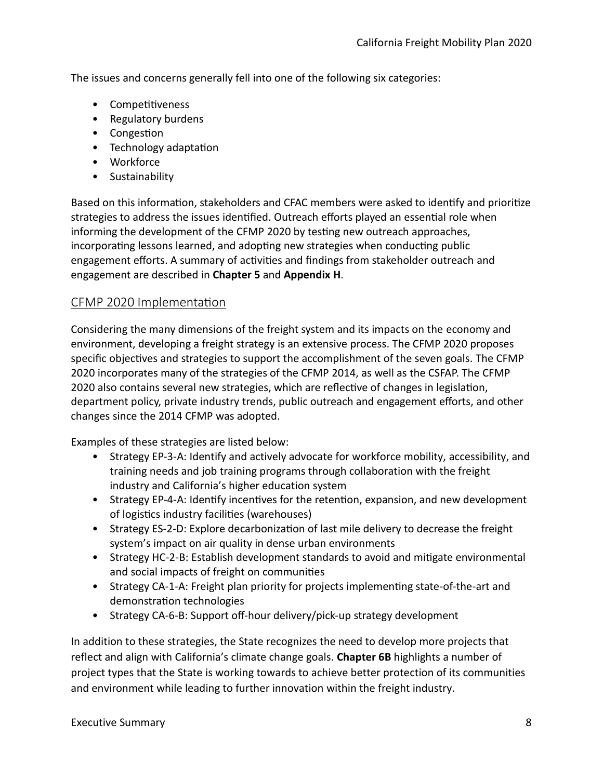The issues and concerns generally fell into one of the following six categories:

- Competitiveness
- Regulatory burdens
- Congestion
- Technology adaptation
- Workforce
- Sustainability

Based on this information, stakeholders and CFAC members were asked to identify and prioritize strategies to address the issues identified. Outreach efforts played an essential role when informing the development of the CFMP 2020 by testing new outreach approaches, incorporating lessons learned, and adopting new strategies when conducting public engagement efforts. A summary of activities and findings from stakeholder outreach and engagement are described in **Chapter 5** and **Appendix H**.

## CFMP 2020 Implementation

Considering the many dimensions of the freight system and its impacts on the economy and environment, developing a freight strategy is an extensive process. The CFMP 2020 proposes specific objectives and strategies to support the accomplishment of the seven goals. The CFMP 2020 incorporates many of the strategies of the CFMP 2014, as well as the CSFAP. The CFMP 2020 also contains several new strategies, which are reflective of changes in legislation, department policy, private industry trends, public outreach and engagement efforts, and other changes since the 2014 CFMP was adopted.

Examples of these strategies are listed below:

- Strategy EP-3-A: Identify and actively advocate for workforce mobility, accessibility, and training needs and job training programs through collaboration with the freight industry and California's higher education system
- Strategy EP-4-A: Identify incentives for the retention, expansion, and new development of logistics industry facilities (warehouses)
- Strategy ES-2-D: Explore decarbonization of last mile delivery to decrease the freight system's impact on air quality in dense urban environments
- Strategy HC-2-B: Establish development standards to avoid and mitigate environmental and social impacts of freight on communities
- Strategy CA-1-A: Freight plan priority for projects implementing state-of-the-art and demonstration technologies
- Strategy CA-6-B: Support off-hour delivery/pick-up strategy development

In addition to these strategies, the State recognizes the need to develop more projects that reflect and align with California's climate change goals. **Chapter 6B** highlights a number of project types that the State is working towards to achieve better protection of its communities and environment while leading to further innovation within the freight industry.